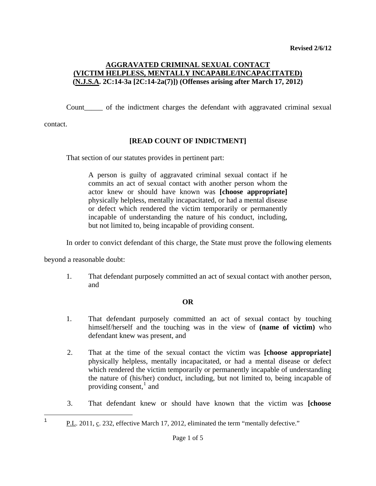# **AGGRAVATED CRIMINAL SEXUAL CONTACT (VICTIM HELPLESS, MENTALLY INCAPABLE/INCAPACITATED) (N.J.S.A. 2C:14-3a [2C:14-2a(7)]) (Offenses arising after March 17, 2012)**

Count\_\_\_\_\_ of the indictment charges the defendant with aggravated criminal sexual

contact.

## **[READ COUNT OF INDICTMENT]**

That section of our statutes provides in pertinent part:

A person is guilty of aggravated criminal sexual contact if he commits an act of sexual contact with another person whom the actor knew or should have known was **[choose appropriate]** physically helpless, mentally incapacitated, or had a mental disease or defect which rendered the victim temporarily or permanently incapable of understanding the nature of his conduct, including, but not limited to, being incapable of providing consent.

In order to convict defendant of this charge, the State must prove the following elements

beyond a reasonable doubt:

1. That defendant purposely committed an act of sexual contact with another person, and

### **OR**

- 1. That defendant purposely committed an act of sexual contact by touching himself/herself and the touching was in the view of **(name of victim)** who defendant knew was present, and
- 2. That at the time of the sexual contact the victim was **[choose appropriate]** physically helpless, mentally incapacitated, or had a mental disease or defect which rendered the victim temporarily or permanently incapable of understanding the nature of (his/her) conduct, including, but not limited to, being incapable of providing consent, $<sup>1</sup>$  $<sup>1</sup>$  $<sup>1</sup>$  and</sup>
- 3. That defendant knew or should have known that the victim was **[choose**

<span id="page-0-1"></span><span id="page-0-0"></span> $\mathbf{1}$ <sup>1</sup>P.L. 2011, c. 232, effective March 17, 2012, eliminated the term "mentally defective."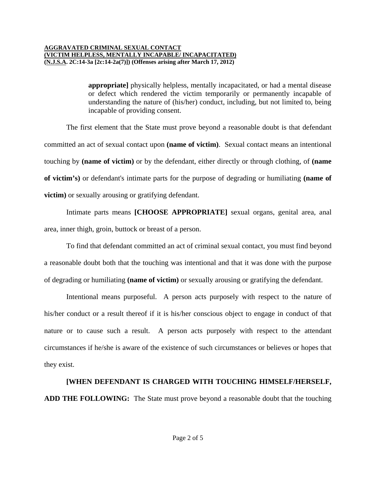**appropriate]** physically helpless, mentally incapacitated, or had a mental disease or defect which rendered the victim temporarily or permanently incapable of understanding the nature of (his/her) conduct, including, but not limited to, being incapable of providing consent.

The first element that the State must prove beyond a reasonable doubt is that defendant committed an act of sexual contact upon **(name of victim)**. Sexual contact means an intentional touching by **(name of victim)** or by the defendant, either directly or through clothing, of **(name of victim's)** or defendant's intimate parts for the purpose of degrading or humiliating **(name of victim)** or sexually arousing or gratifying defendant.

Intimate parts means **[CHOOSE APPROPRIATE]** sexual organs, genital area, anal area, inner thigh, groin, buttock or breast of a person.

To find that defendant committed an act of criminal sexual contact, you must find beyond a reasonable doubt both that the touching was intentional and that it was done with the purpose of degrading or humiliating **(name of victim)** or sexually arousing or gratifying the defendant.

Intentional means purposeful. A person acts purposely with respect to the nature of his/her conduct or a result thereof if it is his/her conscious object to engage in conduct of that nature or to cause such a result. A person acts purposely with respect to the attendant circumstances if he/she is aware of the existence of such circumstances or believes or hopes that they exist.

# **[WHEN DEFENDANT IS CHARGED WITH TOUCHING HIMSELF/HERSELF, ADD THE FOLLOWING:** The State must prove beyond a reasonable doubt that the touching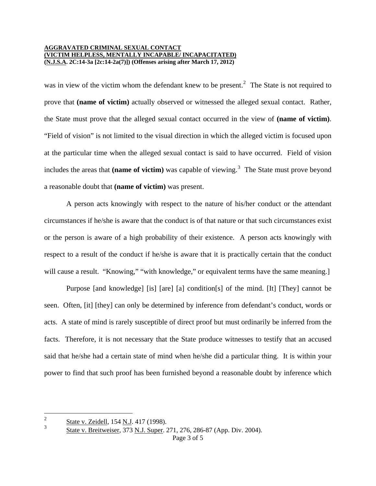#### **AGGRAVATED CRIMINAL SEXUAL CONTACT (VICTIM HELPLESS, MENTALLY INCAPABLE/ INCAPACITATED) (N.J.S.A. 2C:14-3a [2c:14-2a(7)]) (Offenses arising after March 17, 2012)**

was in view of the victim whom the defendant knew to be present.<sup>[2](#page-0-1)</sup> The State is not required to prove that **(name of victim)** actually observed or witnessed the alleged sexual contact. Rather, the State must prove that the alleged sexual contact occurred in the view of **(name of victim)**. "Field of vision" is not limited to the visual direction in which the alleged victim is focused upon at the particular time when the alleged sexual contact is said to have occurred. Field of vision includes the areas that (name of victim) was capable of viewing.<sup>[3](#page-2-0)</sup> The State must prove beyond a reasonable doubt that **(name of victim)** was present.

A person acts knowingly with respect to the nature of his/her conduct or the attendant circumstances if he/she is aware that the conduct is of that nature or that such circumstances exist or the person is aware of a high probability of their existence. A person acts knowingly with respect to a result of the conduct if he/she is aware that it is practically certain that the conduct will cause a result. "Knowing," "with knowledge," or equivalent terms have the same meaning.

Purpose [and knowledge] [is] [are] [a] condition[s] of the mind. [It] [They] cannot be seen. Often, [it] [they] can only be determined by inference from defendant's conduct, words or acts. A state of mind is rarely susceptible of direct proof but must ordinarily be inferred from the facts. Therefore, it is not necessary that the State produce witnesses to testify that an accused said that he/she had a certain state of mind when he/she did a particular thing. It is within your power to find that such proof has been furnished beyond a reasonable doubt by inference which

<span id="page-2-1"></span> $\overline{2}$  $\frac{2}{3}$  State v. Zeidell, 154 N.J. 417 (1998).

<span id="page-2-0"></span><sup>3</sup> State v. Breitweiser, 373 N.J. Super. 271, 276, 286-87 (App. Div. 2004).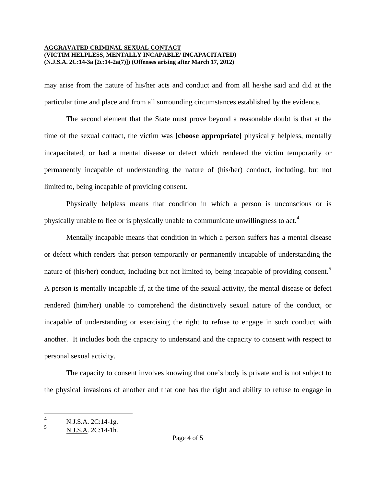### **AGGRAVATED CRIMINAL SEXUAL CONTACT (VICTIM HELPLESS, MENTALLY INCAPABLE/ INCAPACITATED) (N.J.S.A. 2C:14-3a [2c:14-2a(7)]) (Offenses arising after March 17, 2012)**

may arise from the nature of his/her acts and conduct and from all he/she said and did at the particular time and place and from all surrounding circumstances established by the evidence.

The second element that the State must prove beyond a reasonable doubt is that at the time of the sexual contact, the victim was **[choose appropriate]** physically helpless, mentally incapacitated, or had a mental disease or defect which rendered the victim temporarily or permanently incapable of understanding the nature of (his/her) conduct, including, but not limited to, being incapable of providing consent.

Physically helpless means that condition in which a person is unconscious or is physically unable to flee or is physically unable to communicate unwillingness to act.<sup>[4](#page-2-1)</sup>

Mentally incapable means that condition in which a person suffers has a mental disease or defect which renders that person temporarily or permanently incapable of understanding the nature of (his/her) conduct, including but not limited to, being incapable of providing consent.<sup>[5](#page-3-0)</sup> A person is mentally incapable if, at the time of the sexual activity, the mental disease or defect rendered (him/her) unable to comprehend the distinctively sexual nature of the conduct, or incapable of understanding or exercising the right to refuse to engage in such conduct with another. It includes both the capacity to understand and the capacity to consent with respect to personal sexual activity.

The capacity to consent involves knowing that one's body is private and is not subject to the physical invasions of another and that one has the right and ability to refuse to engage in

<span id="page-3-1"></span> $\overline{4}$  $\frac{4}{5}$  N.J.S.A. 2C:14-1g.

<span id="page-3-0"></span><sup>5</sup> N.J.S.A. 2C:14-1h.